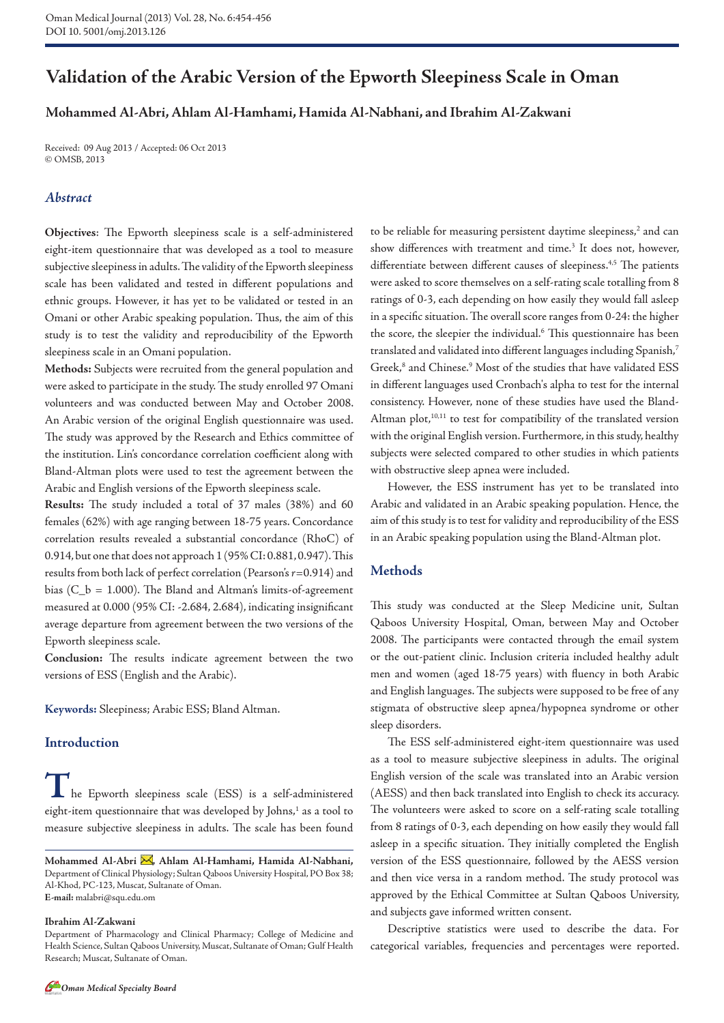# **Validation of the Arabic Version of the Epworth Sleepiness Scale in Oman**

# **Mohammed Al-Abri, Ahlam Al-Hamhami, Hamida Al-Nabhani, and Ibrahim Al-Zakwani**

Received: 09 Aug 2013 / Accepted: 06 Oct 2013 © OMSB, 2013

# *Abstract*

**Objectives**: The Epworth sleepiness scale is a self-administered eight-item questionnaire that was developed as a tool to measure subjective sleepiness in adults. The validity of the Epworth sleepiness scale has been validated and tested in different populations and ethnic groups. However, it has yet to be validated or tested in an Omani or other Arabic speaking population. Thus, the aim of this study is to test the validity and reproducibility of the Epworth sleepiness scale in an Omani population.

**Methods:** Subjects were recruited from the general population and were asked to participate in the study. The study enrolled 97 Omani volunteers and was conducted between May and October 2008. An Arabic version of the original English questionnaire was used. The study was approved by the Research and Ethics committee of the institution. Lin's concordance correlation coefficient along with Bland-Altman plots were used to test the agreement between the Arabic and English versions of the Epworth sleepiness scale.

**Results:** The study included a total of 37 males (38%) and 60 females (62%) with age ranging between 18-75 years. Concordance correlation results revealed a substantial concordance (RhoC) of 0.914, but one that does not approach 1 (95% CI: 0.881, 0.947). This results from both lack of perfect correlation (Pearson's *r*=0.914) and bias (C\_b = 1.000). The Bland and Altman's limits-of-agreement measured at 0.000 (95% CI: -2.684, 2.684), indicating insignificant average departure from agreement between the two versions of the Epworth sleepiness scale.

**Conclusion:** The results indicate agreement between the two versions of ESS (English and the Arabic).

**Keywords:** Sleepiness; Arabic ESS; Bland Altman.

# **Introduction**

**T**he Epworth sleepiness scale (ESS) is a self-administered eight-item questionnaire that was developed by Johns,<sup>1</sup> as a tool to measure subjective sleepiness in adults. The scale has been found

#### **Ibrahim Al-Zakwani**

to be reliable for measuring persistent daytime sleepiness,<sup>2</sup> and can show differences with treatment and time.<sup>3</sup> It does not, however, differentiate between different causes of sleepiness.<sup>4,5</sup> The patients were asked to score themselves on a self-rating scale totalling from 8 ratings of 0-3, each depending on how easily they would fall asleep in a specific situation. The overall score ranges from 0-24: the higher the score, the sleepier the individual.<sup>6</sup> This questionnaire has been translated and validated into different languages including Spanish,7 Greek,<sup>8</sup> and Chinese.<sup>9</sup> Most of the studies that have validated ESS in different languages used Cronbach's alpha to test for the internal consistency. However, none of these studies have used the Bland-Altman plot,<sup>10,11</sup> to test for compatibility of the translated version with the original English version. Furthermore, in this study, healthy subjects were selected compared to other studies in which patients with obstructive sleep apnea were included.

However, the ESS instrument has yet to be translated into Arabic and validated in an Arabic speaking population. Hence, the aim of this study is to test for validity and reproducibility of the ESS in an Arabic speaking population using the Bland-Altman plot.

#### **Methods**

This study was conducted at the Sleep Medicine unit, Sultan Qaboos University Hospital, Oman, between May and October 2008. The participants were contacted through the email system or the out-patient clinic. Inclusion criteria included healthy adult men and women (aged 18-75 years) with fluency in both Arabic and English languages. The subjects were supposed to be free of any stigmata of obstructive sleep apnea/hypopnea syndrome or other sleep disorders.

The ESS self-administered eight-item questionnaire was used as a tool to measure subjective sleepiness in adults. The original English version of the scale was translated into an Arabic version (AESS) and then back translated into English to check its accuracy. The volunteers were asked to score on a self-rating scale totalling from 8 ratings of 0-3, each depending on how easily they would fall asleep in a specific situation. They initially completed the English version of the ESS questionnaire, followed by the AESS version and then vice versa in a random method. The study protocol was approved by the Ethical Committee at Sultan Qaboos University, and subjects gave informed written consent.

Descriptive statistics were used to describe the data. For categorical variables, frequencies and percentages were reported.



Mohammed Al-Abri <a>
M<br/>, Ahlam Al-Hamhami, Hamida Al-Nabhani, Department of Clinical Physiology; Sultan Qaboos University Hospital, PO Box 38; Al-Khod, PC-123, Muscat, Sultanate of Oman. **E-mail:** malabri@squ.edu.om

Department of Pharmacology and Clinical Pharmacy; College of Medicine and Health Science, Sultan Qaboos University, Muscat, Sultanate of Oman; Gulf Health Research; Muscat, Sultanate of Oman.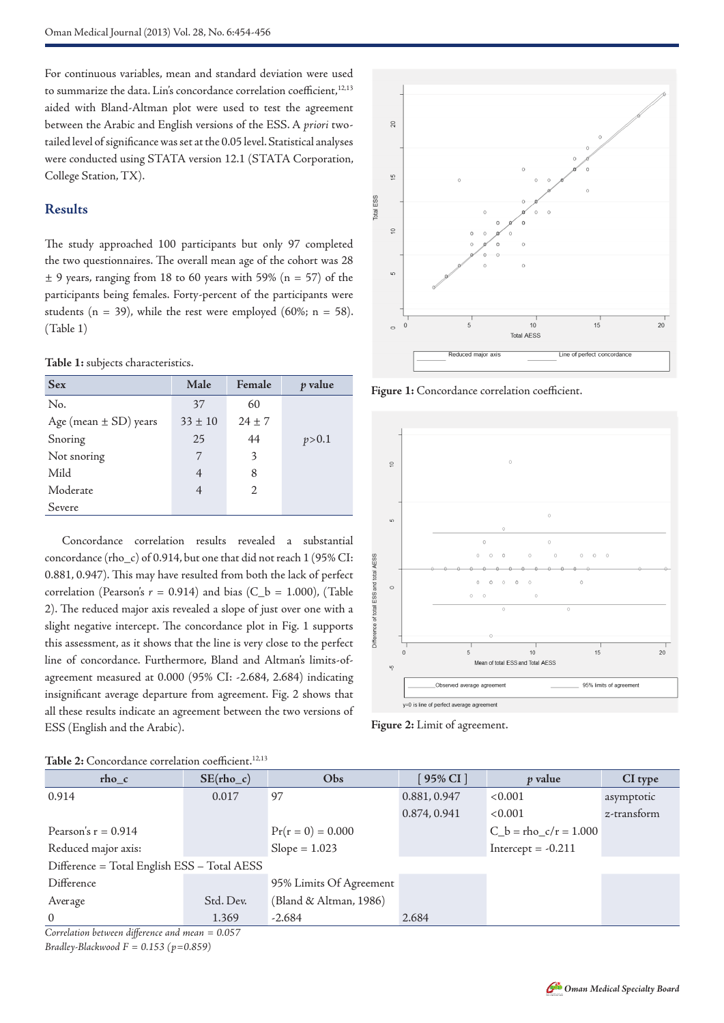For continuous variables, mean and standard deviation were used to summarize the data. Lin's concordance correlation coefficient,<sup>12,13</sup> aided with Bland-Altman plot were used to test the agreement between the Arabic and English versions of the ESS. A *priori* twotailed level of significance was set at the 0.05 level. Statistical analyses were conducted using STATA version 12.1 (STATA Corporation, College Station, TX).

# **Results**

The study approached 100 participants but only 97 completed the two questionnaires. The overall mean age of the cohort was 28  $\pm$  9 years, ranging from 18 to 60 years with 59% (n = 57) of the participants being females. Forty-percent of the participants were students ( $n = 39$ ), while the rest were employed (60%;  $n = 58$ ). (Table 1)

### **Table 1:** subjects characteristics.

| <b>Sex</b>                | Male           | Female                | p value |
|---------------------------|----------------|-----------------------|---------|
| No.                       | 37             | 60                    |         |
| Age (mean $\pm$ SD) years | $33 \pm 10$    | $24 \pm 7$            |         |
| Snoring                   | 25             | 44                    | p > 0.1 |
| Not snoring               | 7              | 3                     |         |
| Mild                      | 4              | 8                     |         |
| Moderate                  | $\overline{4}$ | $\mathcal{D}_{\cdot}$ |         |
| Severe                    |                |                       |         |

Concordance correlation results revealed a substantial concordance (rho\_c) of 0.914, but one that did not reach 1 (95% CI: 0.881, 0.947). This may have resulted from both the lack of perfect correlation (Pearson's  $r = 0.914$ ) and bias (C\_b = 1.000), (Table 2). The reduced major axis revealed a slope of just over one with a slight negative intercept. The concordance plot in Fig. 1 supports this assessment, as it shows that the line is very close to the perfect line of concordance. Furthermore, Bland and Altman's limits-ofagreement measured at 0.000 (95% CI: -2.684, 2.684) indicating insignificant average departure from agreement. Fig. 2 shows that all these results indicate an agreement between the two versions of ESS (English and the Arabic).



**Figure 1:** Concordance correlation coefficient.



**Figure 2:** Limit of agreement.

| Table 2: Concordance correlation coefficient. <sup>12,13</sup> |                             |                         |              |                           |             |  |  |  |
|----------------------------------------------------------------|-----------------------------|-------------------------|--------------|---------------------------|-------------|--|--|--|
| rho c                                                          | $SE(rho_c)$                 | Obs                     | $95\%$ CI ]  | <i>p</i> value            | CI type     |  |  |  |
| 0.914                                                          | 0.017                       | 97                      | 0.881, 0.947 | < 0.001                   | asymptotic  |  |  |  |
|                                                                |                             |                         | 0.874, 0.941 | < 0.001                   | z-transform |  |  |  |
| Pearson's $r = 0.914$                                          |                             | $Pr(r = 0) = 0.000$     |              | $C_b =$ rho $c/r = 1.000$ |             |  |  |  |
| Reduced major axis:                                            |                             | $Slope = 1.023$         |              | Intercept = $-0.211$      |             |  |  |  |
| Difference = Total English ESS - Total AESS                    |                             |                         |              |                           |             |  |  |  |
| Difference                                                     |                             | 95% Limits Of Agreement |              |                           |             |  |  |  |
| Average                                                        | Std. Dev.                   | (Bland & Altman, 1986)  |              |                           |             |  |  |  |
| $\Omega$                                                       | 1.369                       | $-2.684$                | 2.684        |                           |             |  |  |  |
| $\sim$ $\sim$ $\sim$ $\sim$<br>1.7                             | $\sim$ $\sim$ $\sim$ $\sim$ |                         |              |                           |             |  |  |  |

*Correlation between difference and mean = 0.057*

*Bradley-Blackwood F = 0.153 (p=0.859)*